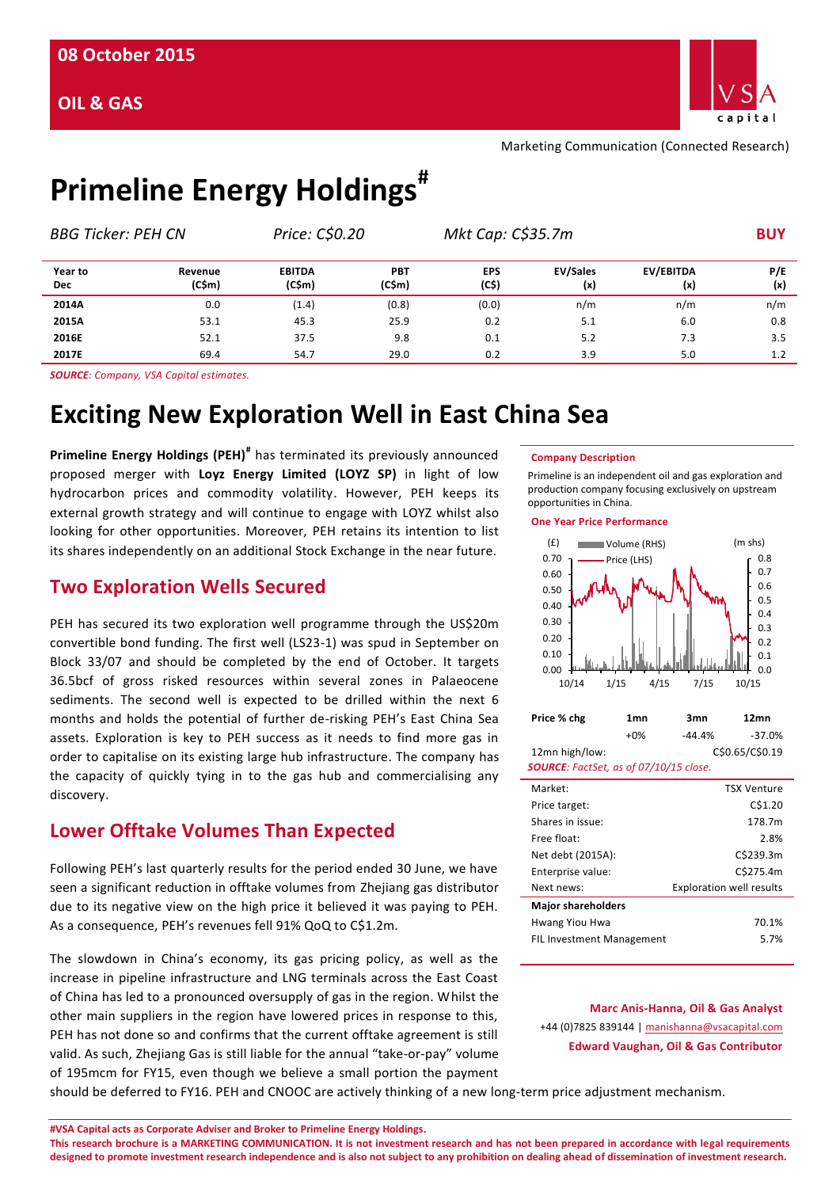

Marketing Communication (Connected Research)

# **Primeline Energy Holdings#**

| <b>BBG Ticker: PEH CN</b> |                   | Price: C\$0.20          |                      | Mkt Cap: C\$35.7m   |                        | <b>BUY</b>       |            |  |
|---------------------------|-------------------|-------------------------|----------------------|---------------------|------------------------|------------------|------------|--|
| Year to<br><b>Dec</b>     | Revenue<br>(C\$m) | <b>EBITDA</b><br>(C\$m) | <b>PBT</b><br>(C\$m) | <b>EPS</b><br>(C\$) | <b>EV/Sales</b><br>(x) | EV/EBITDA<br>(x) | P/E<br>(x) |  |
| 2014A                     | 0.0               | (1.4)                   | (0.8)                | (0.0)               | n/m                    | n/m              | n/m        |  |
| 2015A                     | 53.1              | 45.3                    | 25.9                 | 0.2                 | 5.1                    | 6.0              | 0.8        |  |
| 2016E                     | 52.1              | 37.5                    | 9.8                  | 0.1                 | 5.2                    | 7.3              | 3.5        |  |
| 2017E                     | 69.4              | 54.7                    | 29.0                 | 0.2                 | 3.9                    | 5.0              | 1.2        |  |

*SOURCE: Company, VSA Capital estimates.*

## **Exciting New Exploration Well in East China Sea**

**Primeline Energy Holdings (PEH)#** has terminated its previously announced proposed merger with **Loyz Energy Limited (LOYZ SP)** in light of low hydrocarbon prices and commodity volatility. However, PEH keeps its external growth strategy and will continue to engage with LOYZ whilst also looking for other opportunities. Moreover, PEH retains its intention to list its shares independently on an additional Stock Exchange in the near future.

## **Two Exploration Wells Secured**

PEH has secured its two exploration well programme through the US\$20m convertible bond funding. The first well (LS23-1) was spud in September on Block 33/07 and should be completed by the end of October. It targets 36.5bcf of gross risked resources within several zones in Palaeocene sediments. The second well is expected to be drilled within the next 6 months and holds the potential of further de-risking PEH's East China Sea assets. Exploration is key to PEH success as it needs to find more gas in order to capitalise on its existing large hub infrastructure. The company has the capacity of quickly tying in to the gas hub and commercialising any discovery.

## **Lower Offtake Volumes Than Expected**

Following PEH's last quarterly results for the period ended 30 June, we have seen a significant reduction in offtake volumes from Zhejiang gas distributor due to its negative view on the high price it believed it was paying to PEH. As a consequence, PEH's revenues fell 91% QoQ to C\$1.2m.

The slowdown in China's economy, its gas pricing policy, as well as the increase in pipeline infrastructure and LNG terminals across the East Coast of China has led to a pronounced oversupply of gas in the region. Whilst the other main suppliers in the region have lowered prices in response to this, PEH has not done so and confirms that the current offtake agreement is still valid. As such, Zhejiang Gas is still liable for the annual "take-or-pay" volume of 195mcm for FY15, even though we believe a small portion the payment

#### **Company Description**

Primeline is an independent oil and gas exploration and production company focusing exclusively on upstream opportunities in China.

**One Year Price Performance**



## **Marc Anis-Hanna, Oil & Gas Analyst** +44 (0)7825 839144 [| manishanna@vsacapital.com](mailto:manishanna@vsacapital.com) **Edward Vaughan, Oil & Gas Contributor**

should be deferred to FY16. PEH and CNOOC are actively thinking of a new long-term price adjustment mechanism.

**#VSA Capital acts as Corporate Adviser and Broker to Primeline Energy Holdings.** 

**This research brochure is a MARKETING COMMUNICATION. It is not investment research and has not been prepared in accordance with legal requirements designed to promote investment research independence and is also not subject to any prohibition on dealing ahead of dissemination of investment research.**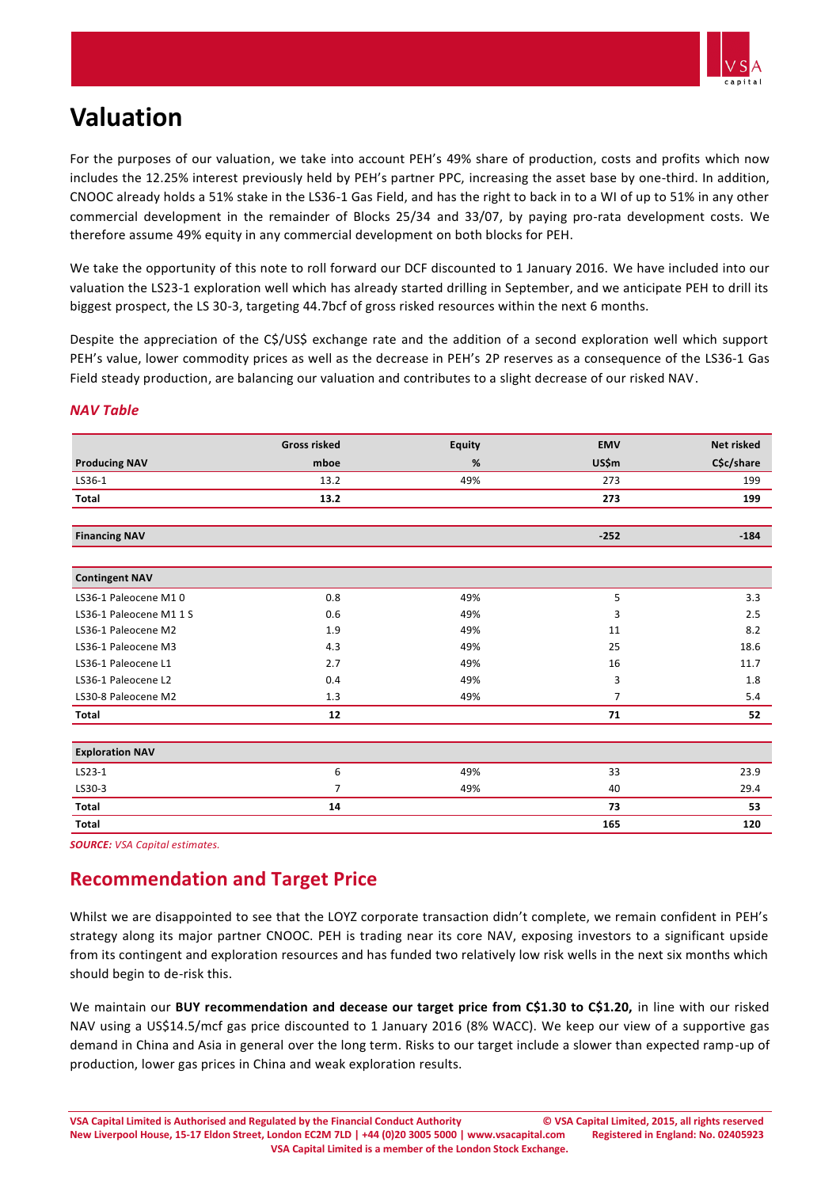

## **Valuation**

For the purposes of our valuation, we take into account PEH's 49% share of production, costs and profits which now includes the 12.25% interest previously held by PEH's partner PPC, increasing the asset base by one-third. In addition, CNOOC already holds a 51% stake in the LS36-1 Gas Field, and has the right to back in to a WI of up to 51% in any other commercial development in the remainder of Blocks 25/34 and 33/07, by paying pro-rata development costs. We therefore assume 49% equity in any commercial development on both blocks for PEH.

We take the opportunity of this note to roll forward our DCF discounted to 1 January 2016. We have included into our valuation the LS23-1 exploration well which has already started drilling in September, and we anticipate PEH to drill its biggest prospect, the LS 30-3, targeting 44.7bcf of gross risked resources within the next 6 months.

Despite the appreciation of the C\$/US\$ exchange rate and the addition of a second exploration well which support PEH's value, lower commodity prices as well as the decrease in PEH's 2P reserves as a consequence of the LS36-1 Gas Field steady production, are balancing our valuation and contributes to a slight decrease of our risked NAV.

|  | NAV Table |
|--|-----------|
|--|-----------|

|                        | <b>Gross risked</b> | <b>Equity</b> | <b>EMV</b>     | <b>Net risked</b> |
|------------------------|---------------------|---------------|----------------|-------------------|
| <b>Producing NAV</b>   | mboe                | %             | US\$m          | C\$c/share        |
| LS36-1                 | 13.2                | 49%           | 273            | 199               |
| <b>Total</b>           | 13.2                |               | 273            | 199               |
| <b>Financing NAV</b>   |                     |               | $-252$         | $-184$            |
|                        |                     |               |                |                   |
| <b>Contingent NAV</b>  |                     |               |                |                   |
| LS36-1 Paleocene M10   | 0.8                 | 49%           | 5              | 3.3               |
| LS36-1 Paleocene M11S  | 0.6                 | 49%           | 3              | 2.5               |
| LS36-1 Paleocene M2    | 1.9                 | 49%           | 11             | 8.2               |
| LS36-1 Paleocene M3    | 4.3                 | 49%           | 25             | 18.6              |
| LS36-1 Paleocene L1    | 2.7                 | 49%           | 16             | 11.7              |
| LS36-1 Paleocene L2    | 0.4                 | 49%           | 3              | 1.8               |
| LS30-8 Paleocene M2    | 1.3                 | 49%           | $\overline{7}$ | 5.4               |
| Total                  | 12                  |               | 71             | 52                |
| <b>Exploration NAV</b> |                     |               |                |                   |
| LS23-1                 | 6                   | 49%           | 33             | 23.9              |
| LS30-3                 | 7                   | 49%           | 40             | 29.4              |
| <b>Total</b>           | 14                  |               | 73             | 53                |
| <b>Total</b>           |                     |               | 165            | 120               |

*SOURCE: VSA Capital estimates.*

## **Recommendation and Target Price**

Whilst we are disappointed to see that the LOYZ corporate transaction didn't complete, we remain confident in PEH's strategy along its major partner CNOOC. PEH is trading near its core NAV, exposing investors to a significant upside from its contingent and exploration resources and has funded two relatively low risk wells in the next six months which should begin to de-risk this.

We maintain our **BUY recommendation and decease our target price from C\$1.30 to C\$1.20,** in line with our risked NAV using a US\$14.5/mcf gas price discounted to 1 January 2016 (8% WACC). We keep our view of a supportive gas demand in China and Asia in general over the long term. Risks to our target include a slower than expected ramp-up of production, lower gas prices in China and weak exploration results.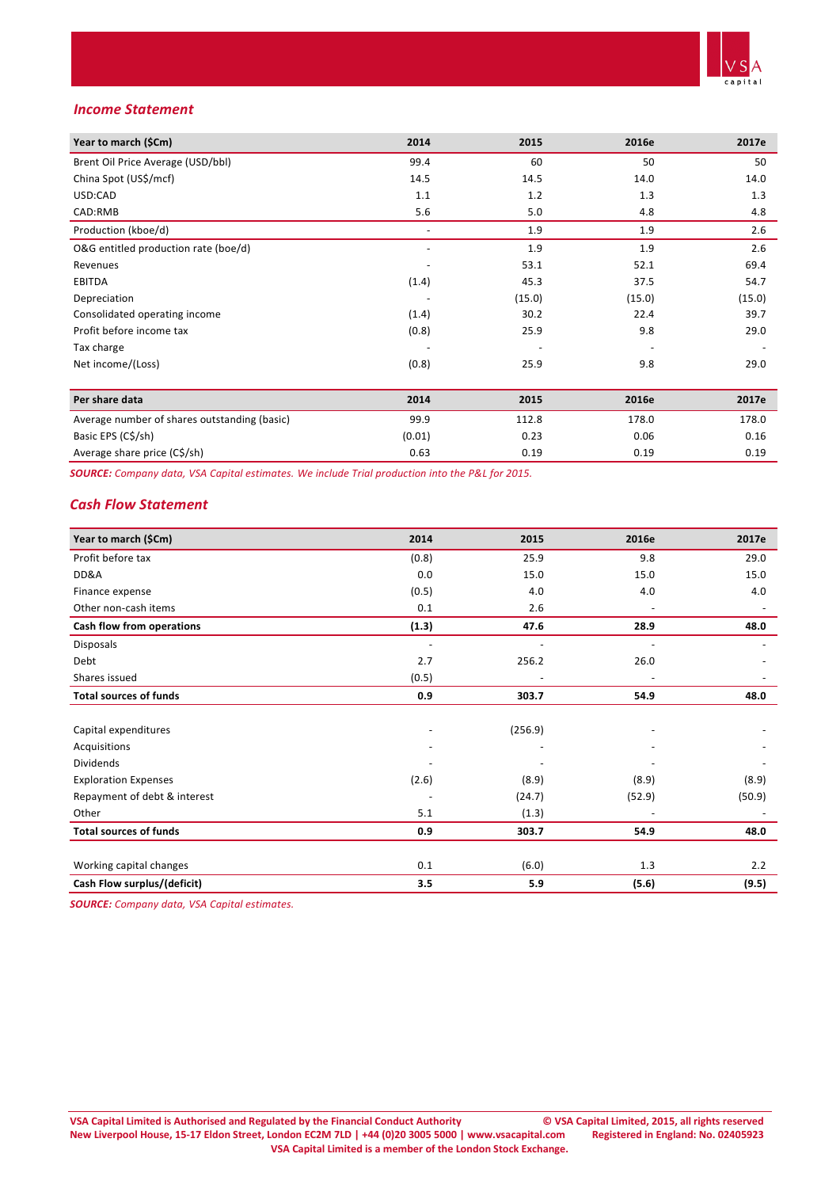

### *Income Statement*

| Year to march (\$Cm)                         | 2014   | 2015   | 2016e  | 2017e  |
|----------------------------------------------|--------|--------|--------|--------|
| Brent Oil Price Average (USD/bbl)            | 99.4   | 60     | 50     | 50     |
| China Spot (US\$/mcf)                        | 14.5   | 14.5   | 14.0   | 14.0   |
| USD:CAD                                      | 1.1    | 1.2    | 1.3    | 1.3    |
| CAD:RMB                                      | 5.6    | 5.0    | 4.8    | 4.8    |
| Production (kboe/d)                          |        | 1.9    | 1.9    | 2.6    |
| O&G entitled production rate (boe/d)         |        | 1.9    | 1.9    | 2.6    |
| Revenues                                     |        | 53.1   | 52.1   | 69.4   |
| <b>EBITDA</b>                                | (1.4)  | 45.3   | 37.5   | 54.7   |
| Depreciation                                 |        | (15.0) | (15.0) | (15.0) |
| Consolidated operating income                | (1.4)  | 30.2   | 22.4   | 39.7   |
| Profit before income tax                     | (0.8)  | 25.9   | 9.8    | 29.0   |
| Tax charge                                   |        |        |        |        |
| Net income/(Loss)                            | (0.8)  | 25.9   | 9.8    | 29.0   |
|                                              |        |        |        |        |
| Per share data                               | 2014   | 2015   | 2016e  | 2017e  |
| Average number of shares outstanding (basic) | 99.9   | 112.8  | 178.0  | 178.0  |
| Basic EPS (C\$/sh)                           | (0.01) | 0.23   | 0.06   | 0.16   |
| Average share price (C\$/sh)                 | 0.63   | 0.19   | 0.19   | 0.19   |

*SOURCE: Company data, VSA Capital estimates. We include Trial production into the P&L for 2015.* 

### *Cash Flow Statement*

| Year to march (\$Cm)          | 2014                     | 2015    | 2016e  | 2017e  |
|-------------------------------|--------------------------|---------|--------|--------|
| Profit before tax             | (0.8)                    | 25.9    | 9.8    | 29.0   |
| DD&A                          | 0.0                      | 15.0    | 15.0   | 15.0   |
| Finance expense               | (0.5)                    | 4.0     | 4.0    | 4.0    |
| Other non-cash items          | 0.1                      | 2.6     |        |        |
| Cash flow from operations     | (1.3)                    | 47.6    | 28.9   | 48.0   |
| Disposals                     | $\overline{\phantom{a}}$ |         |        |        |
| Debt                          | 2.7                      | 256.2   | 26.0   |        |
| Shares issued                 | (0.5)                    |         |        |        |
| <b>Total sources of funds</b> | 0.9                      | 303.7   | 54.9   | 48.0   |
|                               |                          |         |        |        |
| Capital expenditures          |                          | (256.9) |        |        |
| Acquisitions                  |                          |         |        |        |
| <b>Dividends</b>              |                          |         |        |        |
| <b>Exploration Expenses</b>   | (2.6)                    | (8.9)   | (8.9)  | (8.9)  |
| Repayment of debt & interest  |                          | (24.7)  | (52.9) | (50.9) |
| Other                         | 5.1                      | (1.3)   |        |        |
| <b>Total sources of funds</b> | 0.9                      | 303.7   | 54.9   | 48.0   |
|                               |                          |         |        |        |
| Working capital changes       | 0.1                      | (6.0)   | 1.3    | 2.2    |
| Cash Flow surplus/(deficit)   | 3.5                      | 5.9     | (5.6)  | (9.5)  |

*SOURCE: Company data, VSA Capital estimates.*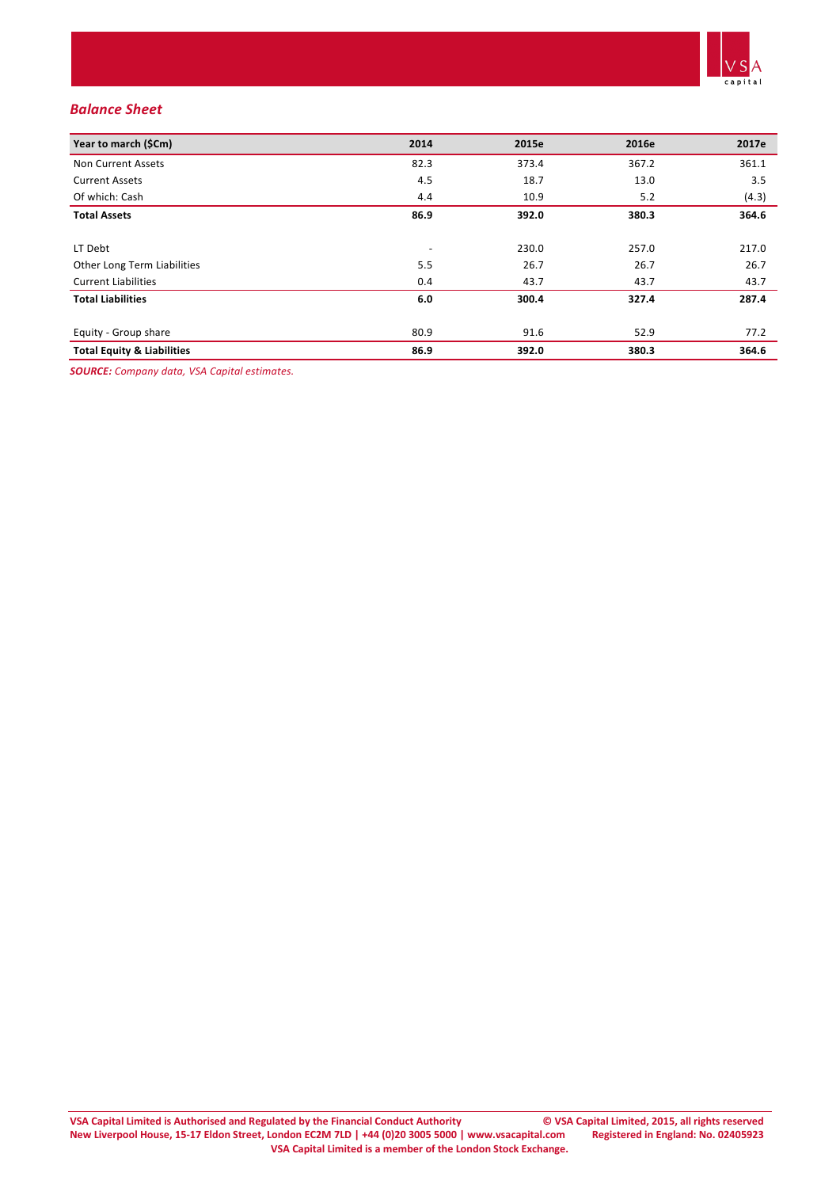

## *Balance Sheet*

| Year to march (\$Cm)                  | 2014 | 2015e | 2016e | 2017e |
|---------------------------------------|------|-------|-------|-------|
| Non Current Assets                    | 82.3 | 373.4 | 367.2 | 361.1 |
| <b>Current Assets</b>                 | 4.5  | 18.7  | 13.0  | 3.5   |
| Of which: Cash                        | 4.4  | 10.9  | 5.2   | (4.3) |
| <b>Total Assets</b>                   | 86.9 | 392.0 | 380.3 | 364.6 |
| LT Debt                               |      | 230.0 | 257.0 | 217.0 |
| Other Long Term Liabilities           | 5.5  | 26.7  | 26.7  | 26.7  |
| <b>Current Liabilities</b>            | 0.4  | 43.7  | 43.7  | 43.7  |
| <b>Total Liabilities</b>              | 6.0  | 300.4 | 327.4 | 287.4 |
| Equity - Group share                  | 80.9 | 91.6  | 52.9  | 77.2  |
| <b>Total Equity &amp; Liabilities</b> | 86.9 | 392.0 | 380.3 | 364.6 |

*SOURCE: Company data, VSA Capital estimates.*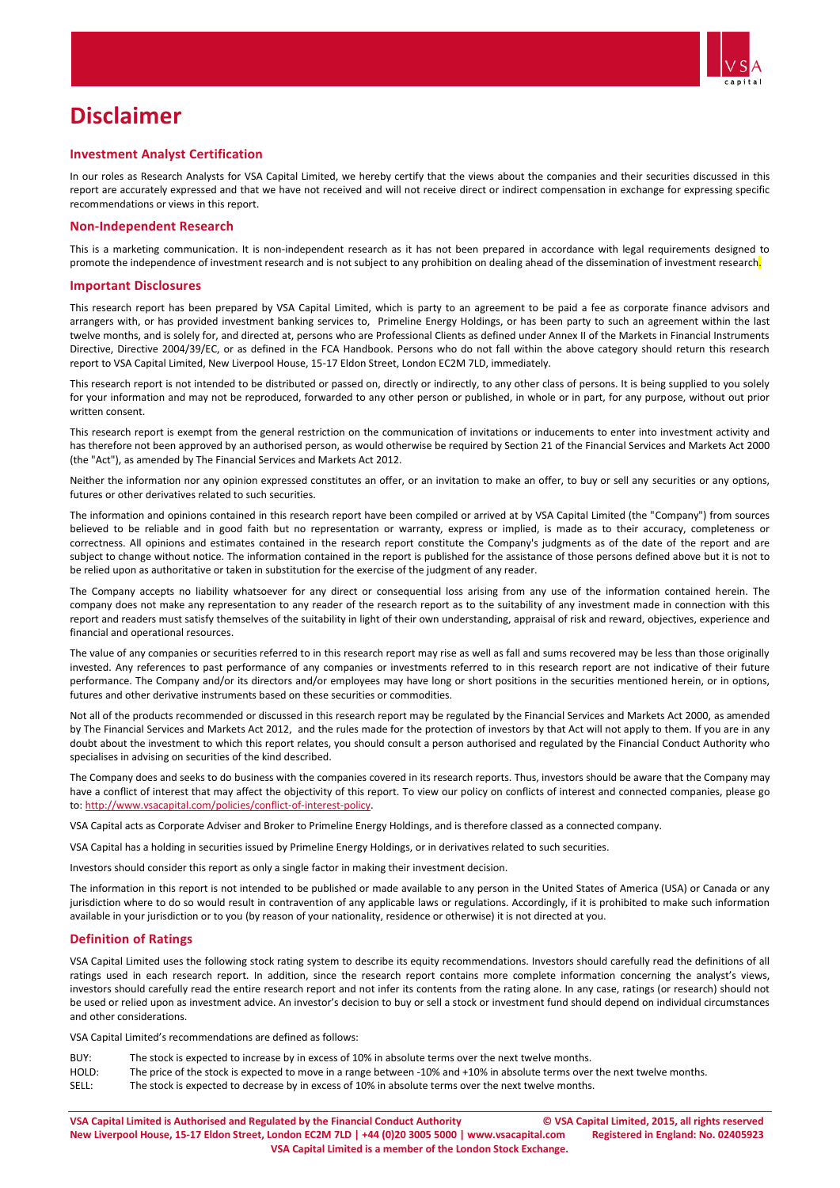

## **Disclaimer**

#### **Investment Analyst Certification**

In our roles as Research Analysts for VSA Capital Limited, we hereby certify that the views about the companies and their securities discussed in this report are accurately expressed and that we have not received and will not receive direct or indirect compensation in exchange for expressing specific recommendations or views in this report.

#### **Non-Independent Research**

This is a marketing communication. It is non-independent research as it has not been prepared in accordance with legal requirements designed to promote the independence of investment research and is not subject to any prohibition on dealing ahead of the dissemination of investment research.

#### **Important Disclosures**

This research report has been prepared by VSA Capital Limited, which is party to an agreement to be paid a fee as corporate finance advisors and arrangers with, or has provided investment banking services to, Primeline Energy Holdings, or has been party to such an agreement within the last twelve months, and is solely for, and directed at, persons who are Professional Clients as defined under Annex II of the Markets in Financial Instruments Directive, Directive 2004/39/EC, or as defined in the FCA Handbook. Persons who do not fall within the above category should return this research report to VSA Capital Limited, New Liverpool House, 15-17 Eldon Street, London EC2M 7LD, immediately.

This research report is not intended to be distributed or passed on, directly or indirectly, to any other class of persons. It is being supplied to you solely for your information and may not be reproduced, forwarded to any other person or published, in whole or in part, for any purpose, without out prior written consent.

This research report is exempt from the general restriction on the communication of invitations or inducements to enter into investment activity and has therefore not been approved by an authorised person, as would otherwise be required by Section 21 of the Financial Services and Markets Act 2000 (the "Act"), as amended by The Financial Services and Markets Act 2012.

Neither the information nor any opinion expressed constitutes an offer, or an invitation to make an offer, to buy or sell any securities or any options, futures or other derivatives related to such securities.

The information and opinions contained in this research report have been compiled or arrived at by VSA Capital Limited (the "Company") from sources believed to be reliable and in good faith but no representation or warranty, express or implied, is made as to their accuracy, completeness or correctness. All opinions and estimates contained in the research report constitute the Company's judgments as of the date of the report and are subject to change without notice. The information contained in the report is published for the assistance of those persons defined above but it is not to be relied upon as authoritative or taken in substitution for the exercise of the judgment of any reader.

The Company accepts no liability whatsoever for any direct or consequential loss arising from any use of the information contained herein. The company does not make any representation to any reader of the research report as to the suitability of any investment made in connection with this report and readers must satisfy themselves of the suitability in light of their own understanding, appraisal of risk and reward, objectives, experience and financial and operational resources.

The value of any companies or securities referred to in this research report may rise as well as fall and sums recovered may be less than those originally invested. Any references to past performance of any companies or investments referred to in this research report are not indicative of their future performance. The Company and/or its directors and/or employees may have long or short positions in the securities mentioned herein, or in options, futures and other derivative instruments based on these securities or commodities.

Not all of the products recommended or discussed in this research report may be regulated by the Financial Services and Markets Act 2000, as amended by The Financial Services and Markets Act 2012, and the rules made for the protection of investors by that Act will not apply to them. If you are in any doubt about the investment to which this report relates, you should consult a person authorised and regulated by the Financial Conduct Authority who specialises in advising on securities of the kind described.

The Company does and seeks to do business with the companies covered in its research reports. Thus, investors should be aware that the Company may have a conflict of interest that may affect the objectivity of this report. To view our policy on conflicts of interest and connected companies, please go to[: http://www.vsacapital.com/policies/conflict-of-interest-policy.](http://www.vsacapital.com/policies/conflict-of-interest-policy)

VSA Capital acts as Corporate Adviser and Broker to Primeline Energy Holdings, and is therefore classed as a connected company.

VSA Capital has a holding in securities issued by Primeline Energy Holdings, or in derivatives related to such securities.

Investors should consider this report as only a single factor in making their investment decision.

The information in this report is not intended to be published or made available to any person in the United States of America (USA) or Canada or any jurisdiction where to do so would result in contravention of any applicable laws or regulations. Accordingly, if it is prohibited to make such information available in your jurisdiction or to you (by reason of your nationality, residence or otherwise) it is not directed at you.

#### **Definition of Ratings**

VSA Capital Limited uses the following stock rating system to describe its equity recommendations. Investors should carefully read the definitions of all ratings used in each research report. In addition, since the research report contains more complete information concerning the analyst's views, investors should carefully read the entire research report and not infer its contents from the rating alone. In any case, ratings (or research) should not be used or relied upon as investment advice. An investor's decision to buy or sell a stock or investment fund should depend on individual circumstances and other considerations.

VSA Capital Limited's recommendations are defined as follows:

- BUY: The stock is expected to increase by in excess of 10% in absolute terms over the next twelve months.
- HOLD: The price of the stock is expected to move in a range between -10% and +10% in absolute terms over the next twelve months.<br>SELL: The stock is expected to decrease by in excess of 10% in absolute terms over the next t
- The stock is expected to decrease by in excess of 10% in absolute terms over the next twelve months.

**VSA Capital Limited is Authorised and Regulated by the Financial Conduct Authority © VSA Capital Limited, 2015, all rights reserved New Liverpool House, 15-17 Eldon Street, London EC2M 7LD | +44 (0)20 3005 5000 | www.vsacapital.com Registered in England: No. 02405923 VSA Capital Limited is a member of the London Stock Exchange.**